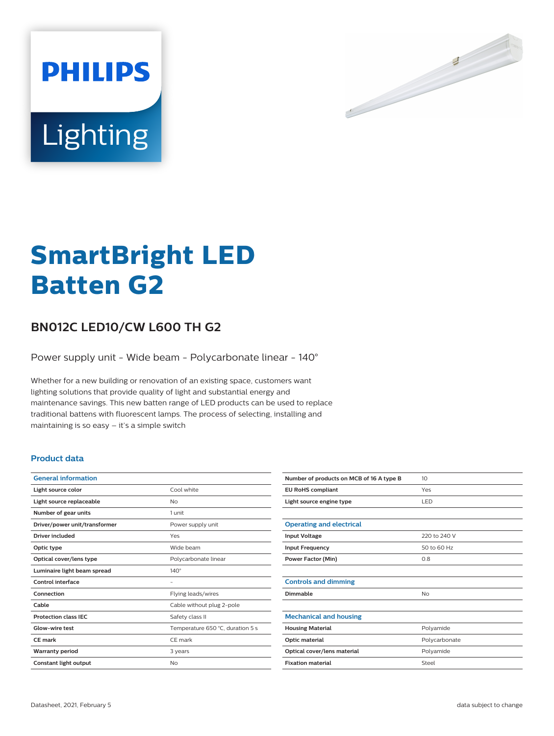

# Lighting

**PHILIPS** 

# **SmartBright LED Batten G2**

# **BN012C LED10/CW L600 TH G2**

Power supply unit - Wide beam - Polycarbonate linear - 140°

Whether for a new building or renovation of an existing space, customers want lighting solutions that provide quality of light and substantial energy and maintenance savings. This new batten range of LED products can be used to replace traditional battens with fluorescent lamps. The process of selecting, installing and maintaining is so easy – it's a simple switch

## **Product data**

| <b>General information</b>    |                                  |
|-------------------------------|----------------------------------|
| Light source color            | Cool white                       |
| Light source replaceable      | No                               |
| Number of gear units          | 1 unit                           |
| Driver/power unit/transformer | Power supply unit                |
| Driver included               | Yes                              |
| Optic type                    | Wide beam                        |
| Optical cover/lens type       | Polycarbonate linear             |
| Luminaire light beam spread   | $140^\circ$                      |
| Control interface             |                                  |
| Connection                    | Flying leads/wires               |
| Cable                         | Cable without plug 2-pole        |
| <b>Protection class IEC</b>   | Safety class II                  |
| Glow-wire test                | Temperature 650 °C, duration 5 s |
| <b>CE</b> mark                | CE mark                          |
| <b>Warranty period</b>        | 3 years                          |
| Constant light output         | No                               |

| Number of products on MCB of 16 A type B | 10            |
|------------------------------------------|---------------|
| <b>EU RoHS compliant</b>                 | Yes           |
| Light source engine type                 | LED           |
|                                          |               |
| <b>Operating and electrical</b>          |               |
| <b>Input Voltage</b>                     | 220 to 240 V  |
| <b>Input Frequency</b>                   | 50 to 60 Hz   |
| <b>Power Factor (Min)</b>                | 0.8           |
|                                          |               |
| <b>Controls and dimming</b>              |               |
| Dimmable                                 | No            |
|                                          |               |
| <b>Mechanical and housing</b>            |               |
| <b>Housing Material</b>                  | Polyamide     |
| Optic material                           | Polycarbonate |
| Optical cover/lens material              | Polyamide     |
| <b>Fixation material</b>                 | Steel         |
|                                          |               |